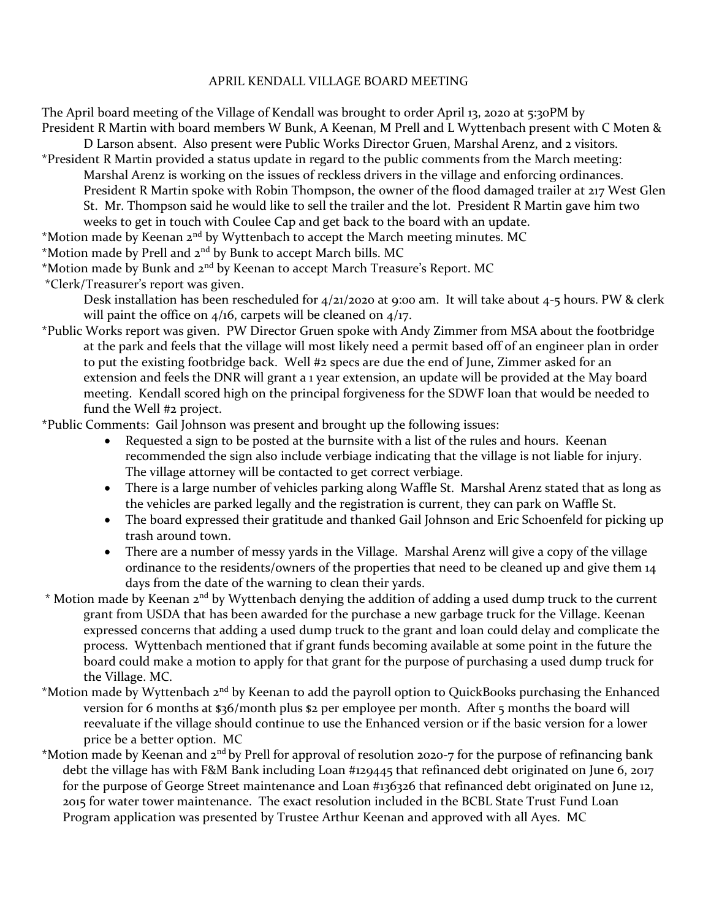## APRIL KENDALL VILLAGE BOARD MEETING

The April board meeting of the Village of Kendall was brought to order April 13, 2020 at 5:30PM by President R Martin with board members W Bunk, A Keenan, M Prell and L Wyttenbach present with C Moten &

D Larson absent. Also present were Public Works Director Gruen, Marshal Arenz, and 2 visitors. \*President R Martin provided a status update in regard to the public comments from the March meeting:

Marshal Arenz is working on the issues of reckless drivers in the village and enforcing ordinances. President R Martin spoke with Robin Thompson, the owner of the flood damaged trailer at 217 West Glen St. Mr. Thompson said he would like to sell the trailer and the lot. President R Martin gave him two weeks to get in touch with Coulee Cap and get back to the board with an update.

\*Motion made by Keenan 2<sup>nd</sup> by Wyttenbach to accept the March meeting minutes. MC

\*Motion made by Prell and 2<sup>nd</sup> by Bunk to accept March bills. MC

\*Motion made by Bunk and 2<sup>nd</sup> by Keenan to accept March Treasure's Report. MC

\*Clerk/Treasurer's report was given.

Desk installation has been rescheduled for 4/21/2020 at 9:00 am. It will take about 4-5 hours. PW & clerk will paint the office on  $4/16$ , carpets will be cleaned on  $4/17$ .

\*Public Works report was given. PW Director Gruen spoke with Andy Zimmer from MSA about the footbridge at the park and feels that the village will most likely need a permit based off of an engineer plan in order to put the existing footbridge back. Well #2 specs are due the end of June, Zimmer asked for an extension and feels the DNR will grant a 1 year extension, an update will be provided at the May board meeting. Kendall scored high on the principal forgiveness for the SDWF loan that would be needed to fund the Well #2 project.

\*Public Comments: Gail Johnson was present and brought up the following issues:

- Requested a sign to be posted at the burnsite with a list of the rules and hours. Keenan recommended the sign also include verbiage indicating that the village is not liable for injury. The village attorney will be contacted to get correct verbiage.
- There is a large number of vehicles parking along Waffle St. Marshal Arenz stated that as long as the vehicles are parked legally and the registration is current, they can park on Waffle St.
- The board expressed their gratitude and thanked Gail Johnson and Eric Schoenfeld for picking up trash around town.
- There are a number of messy vards in the Village. Marshal Arenz will give a copy of the village ordinance to the residents/owners of the properties that need to be cleaned up and give them 14 days from the date of the warning to clean their yards.
- \* Motion made by Keenan 2<sup>nd</sup> by Wyttenbach denying the addition of adding a used dump truck to the current grant from USDA that has been awarded for the purchase a new garbage truck for the Village. Keenan expressed concerns that adding a used dump truck to the grant and loan could delay and complicate the process. Wyttenbach mentioned that if grant funds becoming available at some point in the future the board could make a motion to apply for that grant for the purpose of purchasing a used dump truck for the Village. MC.
- \*Motion made by Wyttenbach 2<sup>nd</sup> by Keenan to add the payroll option to QuickBooks purchasing the Enhanced version for 6 months at \$36/month plus \$2 per employee per month. After 5 months the board will reevaluate if the village should continue to use the Enhanced version or if the basic version for a lower price be a better option. MC
- \*Motion made by Keenan and 2<sup>nd</sup> by Prell for approval of resolution 2020-7 for the purpose of refinancing bank debt the village has with F&M Bank including Loan #129445 that refinanced debt originated on June 6, 2017 for the purpose of George Street maintenance and Loan #136326 that refinanced debt originated on June 12, 2015 for water tower maintenance. The exact resolution included in the BCBL State Trust Fund Loan Program application was presented by Trustee Arthur Keenan and approved with all Ayes. MC